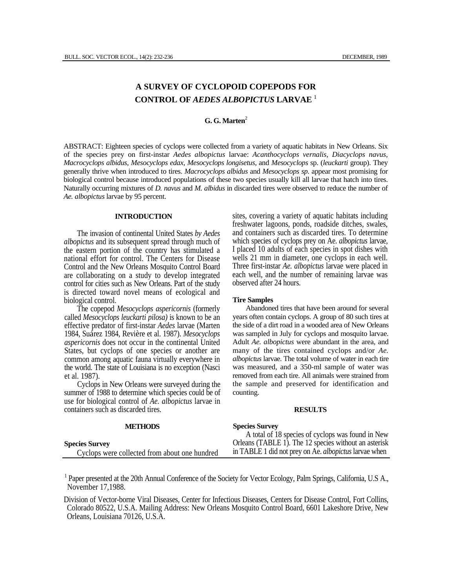# **A SURVEY OF CYCLOPOID COPEPODS FOR CONTROL OF** *AEDES ALBOPICTUS* **LARVAE** <sup>1</sup>

## **G. G. Marten**<sup>2</sup>

ABSTRACT: Eighteen species of cyclops were collected from a variety of aquatic habitats in New Orleans. Six of the species prey on first-instar *Aedes albopictus* larvae: *Acanthocyclops vernalis, Diacyclops navus, Macrocyclops albidus, Mesocyclops edax, Mesocyclops longisetus,* and *Mesocyclops* sp. (*leuckarti* group). They generally thrive when introduced to tires. *Macrocyclops albidus* and *Mesocyclops sp.* appear most promising for biological control because introduced populations of these two species usually kill all larvae that hatch into tires. Naturally occurring mixtures of *D. navus* and *M. albidus* in discarded tires were observed to reduce the number of *Ae. albopictus* larvae by 95 percent.

## **INTRODUCTION**

The invasion of continental United States *by Aedes albopictus* and its subsequent spread through much of the eastern portion of the country has stimulated a national effort for control. The Centers for Disease Control and the New Orleans Mosquito Control Board are collaborating on a study to develop integrated control for cities such as New Orleans. Part of the study is directed toward novel means of ecological and biological control.

The copepod *Mesocyclops aspericornis* (formerly called *Mesocyclops leuckarti pilosa)* is known to be an effective predator of first-instar *Aedes* larvae (Marten 1984, Suárez 1984, Revière et al. 1987). *Mesocyclops aspericornis* does not occur in the continental United States, but cyclops of one species or another are common among aquatic fauna virtually everywhere in the world. The state of Louisiana is no exception (Nasci et al. 1987).

Cyclops in New Orleans were surveyed during the summer of 1988 to determine which species could be of use for biological control of *Ae. albopictus* larvae in containers such as discarded tires.

sites, covering a variety of aquatic habitats including freshwater lagoons, ponds, roadside ditches, swales, and containers such as discarded tires. To determine which species of cyclops prey on Ae. *albopictus* larvae, I placed 10 adults of each species in spot dishes with wells 21 mm in diameter, one cyclops in each well. Three first-instar *Ae. albopictus* larvae were placed in each well, and the number of remaining larvae was observed after 24 hours.

## **Tire Samples**

Abandoned tires that have been around for several years often contain cyclops. A group of 80 such tires at the side of a dirt road in a wooded area of New Orleans was sampled in July for cyclops and mosquito larvae. Adult *Ae. albopictus* were abundant in the area, and many of the tires contained cyclops and/or *Ae. albopictus* larvae. The total volume of water in each tire was measured, and a 350-ml sample of water was removed from each tire. All animals were strained from the sample and preserved for identification and counting.

#### **RESULTS**

| <b>METHODS</b>                                | <b>Species Survey</b>                                        |
|-----------------------------------------------|--------------------------------------------------------------|
|                                               | A total of 18 species of cyclops was found in New            |
| <b>Species Survey</b>                         | Orleans (TABLE 1). The 12 species without an asterisk        |
| Cyclops were collected from about one hundred | in TABLE 1 did not prey on Ae. <i>albopictus</i> larvae when |

<sup>1</sup> Paper presented at the 20th Annual Conference of the Society for Vector Ecology, Palm Springs, California, U.S A., November 17,1988.

Division of Vector-borne Viral Diseases, Center for Infectious Diseases, Centers for Disease Control, Fort Collins, Colorado 80522, U.S.A. Mailing Address: New Orleans Mosquito Control Board, 6601 Lakeshore Drive, New Orleans, Louisiana 70126, U.S.A.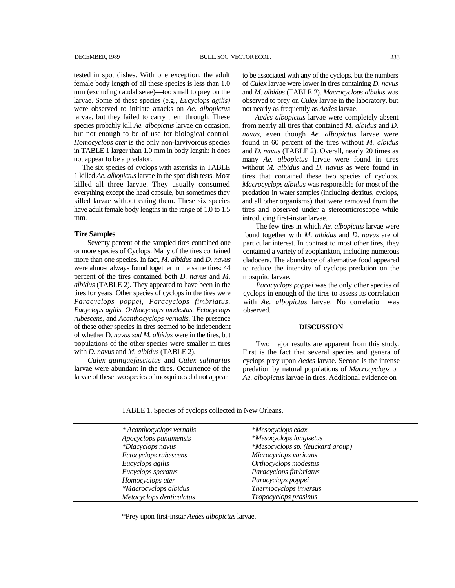tested in spot dishes. With one exception, the adult female body length of all these species is less than 1.0 mm (excluding caudal setae)—too small to prey on the larvae. Some of these species (e.g., *Eucyclops agilis)*  were observed to initiate attacks on *Ae. albopictus*  larvae, but they failed to carry them through. These species probably kill *Ae. albopictus* larvae on occasion, but not enough to be of use for biological control. *Homocyclops ater* is the only non-larvivorous species in TABLE 1 larger than 1.0 mm in body length: it does not appear to be a predator.

The six species of cyclops with asterisks in TABLE 1 killed *Ae. albopictus* larvae in the spot dish tests. Most killed all three larvae. They usually consumed everything except the head capsule, but sometimes they killed larvae without eating them. These six species have adult female body lengths in the range of 1.0 to 1.5 mm.

#### **Tire Samples**

Seventy percent of the sampled tires contained one or more species of Cyclops. Many of the tires contained more than one species. In fact, *M. albidus* and *D. navus*  were almost always found together in the same tires: 44 percent of the tires contained both *D. navus* and *M. albidus* (TABLE 2). They appeared to have been in the tires for years. Other species of cyclops in the tires were *Paracyclops poppei, Paracyclops fimbriatus, Eucyclops agilis, Orthocyclops modestus, Ectocyclops rubescens,* and *Acanthocyclops vernalis.* The presence of these other species in tires seemed to be independent of whether D. *navus sad M. albidus* were in the tires, but populations of the other species were smaller in tires with *D. navus* and *M. albidus* (TABLE 2).

*Culex quinquefasciatus* and *Culex salinarius*  larvae were abundant in the tires. Occurrence of the larvae of these two species of mosquitoes did not appear

to be associated with any of the cyclops, but the numbers of *Culex* larvae were lower in tires containing *D. navus*  and *M. albidus* (TABLE 2). *Macrocyclops albidus* was observed to prey on *Culex* larvae in the laboratory, but not nearly as frequently as *Aedes* larvae.

*Aedes albopictus* larvae were completely absent from nearly all tires that contained *M. albidus* and *D. navus,* even though *Ae. albopictus* larvae were found in 60 percent of the tires without *M. albidus*  and *D. navus* (TABLE 2). Overall, nearly 20 times as many *Ae. albopictus* larvae were found in tires without *M. albidus* and *D. navus* as were found in tires that contained these two species of cyclops. *Macrocyclops albidus* was responsible for most of the predation in water samples (including detritus, cyclops, and all other organisms) that were removed from the tires and observed under a stereomicroscope while introducing first-instar larvae.

The few tires in which *Ae. albopictus* larvae were found together with *M. albidus* and *D. navus* are of particular interest. In contrast to most other tires, they contained a variety of zooplankton, including numerous cladocera. The abundance of alternative food appeared to reduce the intensity of cyclops predation on the mosquito larvae.

*Paracyclops poppei* was the only other species of cyclops in enough of the tires to assess its correlation with *Ae. albopictus* larvae. No correlation was observed.

## **DISCUSSION**

Two major results are apparent from this study. First is the fact that several species and genera of cyclops prey upon *Aedes* larvae. Second is the intense predation by natural populations of *Macrocyclops* on *Ae. albopictus* larvae in tires. Additional evidence on

TABLE 1. Species of cyclops collected in New Orleans.

| * Acanthocyclops vernalis | <i>*Mesocyclops edax</i>           |
|---------------------------|------------------------------------|
| Apocyclops panamensis     | <i>*Mesocyclops longisetus</i>     |
| *Diacyclops navus         | *Mesocyclops sp. (leuckarti group) |
| Ectocyclops rubescens     | Microcyclops varicans              |
| Eucyclops agilis          | Orthocyclops modestus              |
| Eucyclops speratus        | Paracyclops fimbriatus             |
| Homocyclops ater          | Paracyclops poppei                 |
| *Macrocyclops albidus     | Thermocyclops inversus             |
| Metacyclops denticulatus  | Tropocyclops prasinus              |

\*Prey upon first-instar *Aedes albopictus* larvae.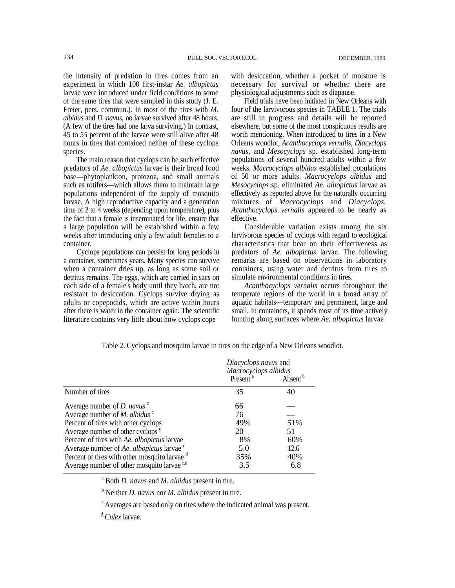the intensity of predation in tires comes from an experiment in which 100 first-instar *Ae. albopictus*  larvae were introduced under field conditions to some of the same tires that were sampled in this study (J. E. Freier, pers. commun.). In most of the tires with *M. albidus* and *D. navus,* no larvae survived after 48 hours. (A few of the tires had one larva surviving.) In contrast, 45 to *55* percent of the larvae were still alive after 48 hours in tires that contained neither of these cyclops species.

The main reason that cyclops can be such effective predators of *Ae. albopictus* larvae is their broad food base—phytoplankton, protozoa, and small animals such as rotifers—which allows them to maintain large populations independent of the supply of mosquito larvae. A high reproductive capacity and a generation time of 2 to 4 weeks (depending upon temperature), plus the fact that a female is inseminated for life, ensure that a large population will be established within a few weeks after introducing only a few adult females to a container.

Cyclops populations can persist for long periods in a container, sometimes years. Many species can survive when a container dries up, as long as some soil or detritus remains. The eggs, which are carried in sacs on each side of a female's body until they hatch, are not resistant to desiccation. Cyclops survive drying as adults or copepodids, which are active within hours after there is water in the container again. The scientific literature contains very little about how cyclops cope

with desiccation, whether a pocket of moisture is necessary for survival or whether there are physiological adjustments such as diapause.

Field trials have been initiated in New Orleans with four of the larvivorous species in TABLE 1. The trials are still in progress and details will be reported elsewhere, but some of the most conspicuous results are worth mentioning. When introduced to tires in a New Orleans woodlot, *Acanthocyclops vernalis, Diacyclops navus,* and *Mesocyclops* sp. established long-term populations of several hundred adults within a few weeks. *Macrocyclops albidus* established populations of 50 or more adults. *Macrocyclops albidus* and *Mesocyclops* sp. eliminated *Ae. albopictus* larvae as effectively as reported above for the naturally occurring mixtures of *Macrocyclops* and *Diacyclops. Acanthocyclops vernalis* appeared to be nearly as effective.

Considerable variation exists among the six larvivorous species of cyclops with regard to ecological characteristics that bear on their effectiveness as predators of *Ae. albopictus* larvae. The following remarks are based on observations in laboratory containers, using water and detritus from tires to simulate environmental conditions in tires.

*Acanthocyclops vernalis* occurs throughout the temperate regions of the world in a broad array of aquatic habitats—temporary and permanent, large and small. In containers, it spends most of its time actively hunting along surfaces where *Ae. albopictus* larvae

|                                                          | Diacyclops navus and<br>Macrocyclops albidus |                     |
|----------------------------------------------------------|----------------------------------------------|---------------------|
|                                                          | Present <sup>a</sup>                         | Absent <sup>b</sup> |
| Number of tires                                          | 35                                           | 40                  |
| Average number of $D$ , navus $\degree$                  | 66                                           |                     |
| Average number of $M$ . albidus $\degree$                | 76                                           |                     |
| Percent of tires with other cyclops                      | 49%                                          | 51%                 |
| Average number of other cyclops <sup>c</sup>             | 20                                           | 51                  |
| Percent of tires with Ae. albopictus larvae              | 8%                                           | 60%                 |
| Average number of Ae. albopictus larvae <sup>c</sup>     | 5.0                                          | 12.6                |
| Percent of tires with other mosquito larvae <sup>d</sup> | 35%                                          | 40%                 |
| Average number of other mosquito larvae <sup>c,d</sup>   | 3.5                                          | 6.8                 |

Table 2. Cyclops and mosquito larvae in tires on the edge of a New Orleans woodlot.

a Both *D. navus* and *M. albidus* present in tire.

b Neither *D. navus* nor *M. albidus* present in tire.

c Averages are based only on tires where the indicated animal was present.

 *<sup>d</sup> Culex* larvae.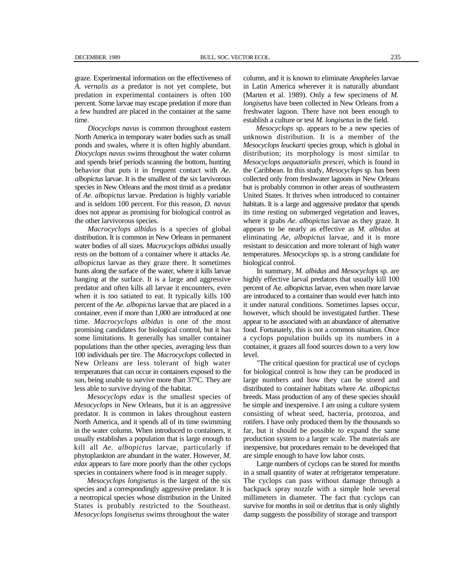graze. Experimental information on the effectiveness of *A. vernalis as* a predator is not yet complete, but predation in experimental containers is often 100 percent. Some larvae may escape predation if more than a few hundred are placed in the container at the same time.

*Diocyclops navus* is common throughout eastern North America in temporary water bodies such as small ponds and swales, where it is often highly abundant. *Diocyclops navus* swims throughout the water column and spends brief periods scanning the bottom, hunting behavior that puts it in frequent contact with *Ae. albopictus* larvae. It is the smallest of the six larvivorous species in New Orleans and the most timid as a predator of *Ae. albopictus* larvae. Predation is highly variable and is seldom 100 percent. For this reason, *D. navus*  does not appear as promising for biological control as the other larvivorous species.

*Macrocyclops albidus* is a species of global distribution. It is common in New Orleans in permanent water bodies of all sizes. *Macrocyclops albidus* usually rests on the bottom of a container where it attacks *Ae. albopictus* larvae as they graze there. It sometimes hunts along the surface of the water, where it kills larvae hanging at the surface. It is a large and aggressive predator and often kills all larvae it encounters, even when it is too satiated to eat. It typically kills 100 percent of the *Ae. albopictus* larvae that are placed in a container, even if more than 1,000 are introduced at one time. *Macrocyclops albidus* is one of the most promising candidates for biological control, but it has some limitations. It generally has smaller container populations than the other species, averaging less than 100 individuals per tire. The *Macrocyclops* collected in New Orleans are less tolerant of high water temperatures that can occur in containers exposed to the sun, being unable to survive more than 37°C. They are less able to survive drying of the habitat.

*Mesocyclops edax* is the smallest species of *Mesocyclops* in New Orleans, but it is an aggressive predator. It is common in lakes throughout eastern North America, and it spends all of its time swimming in the water column. When introduced to containers, it usually establishes a population that is large enough to kill all *Ae. albopictus* larvae, particularly if phytoplankton are abundant in the water. However, *M. edax* appears to fare more poorly than the other cyclops species in containers where food is in meager supply.

*Mesocyclops longisetus* is the largest of the six species and a correspondingly aggressive predator. It is a neotropical species whose distribution in the United States is probably restricted to the Southeast. *Mesocyclops longisetus* swims throughout the water

column, and it is known to eliminate *Anopheles* larvae in Latin America wherever it is naturally abundant (Marten et al. 1989). Only a few specimens of *M. longisetus* have been collected in New Orleans from a freshwater lagoon. There have not been enough to establish a culture or test *M. longisetus* in the field.

*Mesocyclops* sp. appears to be a new species of unknown distribution. It is a member of the *Mesocyclops leuckarti* species group, which is global in distribution; its morphology is most similar to *Mesocyclops aequatorialis prescei,* which is found in the Caribbean. In this study, *Mesocyclops* sp. has been collected only from freshwater lagoons in New Orleans but is probably common in other areas of southeastern United States. It thrives when introduced to container habitats. It is a large and aggressive predator that spends its time resting on submerged vegetation and leaves, where it grabs *Ae. albopictus* larvae as they graze. It appears to be nearly as effective as *M. albidus* at eliminating *Ae, albopictus* larvae, and it is more resistant to desiccation and more tolerant of high water temperatures. *Mesocyclops* sp. is a strong candidate for biological control.

In summary, *M. albidus* and *Mesocyclops* sp. are highly effective larval predators that usually kill 100 percent of Ae. *albopictus* larvae, even when more larvae are introduced to a container than would ever hatch into it under natural conditions. Sometimes lapses occur, however, which should be investigated further. These appear to be associated with an abundance of alternative food. Fortunately, this is not a common situation. Once a cyclops population builds up its numbers in a container, it grazes all food sources down to a very low level.

"The critical question for practical use of cyclops for biological control is how they can be produced in large numbers and how they can he stored and distributed to container habitats where *Ae. albopictus*  breeds. Mass production of any of these species should be simple and inexpensive. I am using a culture system consisting of wheat seed, bacteria, protozoa, and rotifers. I have only produced them by the thousands so far, but it should be possible to expand the same production system to a larger scale. The materials are inexpensive, but procedures remain to be developed that are simple enough to have low labor costs.

Large numbers of cyclops can be stored for months in a small quantity of water at refrigerator temperature. The cyclops can pass without damage through a backpack spray nozzle with a simple hole several millimeters in diameter. The fact that cyclops can survive for months in soil or detritus that is only slightly damp suggests the possibility of storage and transport